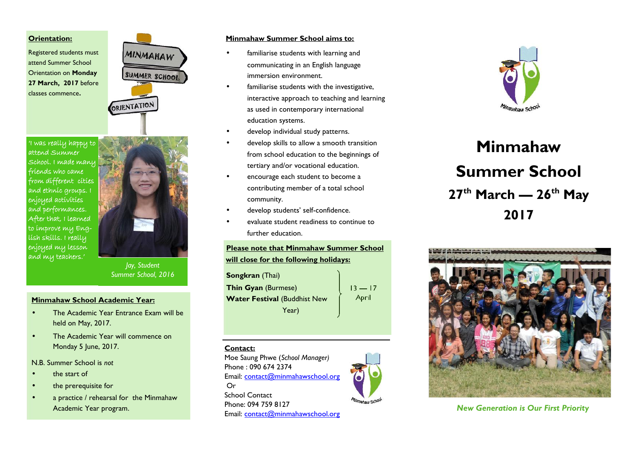### **Orientation:**

Registered students must attend Summer School Orientation on **Monday 27 March, 2017** before classes commence**.**

**'I was really happy to attend Summer School. I made many friends who came from different cities and ethnic groups. I enjoyed activities and performances. After that, I learned to improve my English skills. I really enjoyed my lesson and my teachers.'**



**MINMAHAW** 

SUMMER SCHOOL

*Jay, Student Summer School, 2016*

### **Minmahaw School Academic Year:**

- The Academic Year Entrance Exam will be held on May, 2017.
- The Academic Year will commence on Monday 5 June, 2017.

#### N.B. Summer School is *not*

- the start of
- the prerequisite for
- a practice / rehearsal for the Minmahaw Academic Year program.

### **Minmahaw Summer School aims to:**

- familiarise students with learning and communicating in an English language immersion environment.
- familiarise students with the investigative, interactive approach to teaching and learning as used in contemporary international education systems.
- develop individual study patterns.
- develop skills to allow a smooth transition from school education to the beginnings of tertiary and/or vocational education.
- encourage each student to become a contributing member of a total school community.
- develop students' self-confidence.
- evaluate student readiness to continue to further education.

# **Please note that Minmahaw Summer School will close for the following holidays:**

**Songkran** (Thai) **Thin Gyan** (Burmese) **Water Festival** (Buddhist New Year)

 $13 - 17$ April

### **Contact:**

Moe Saung Phwe (*School Manager)* Phone : 090 674 2374 Email: contact@minmahawschool.org Or School Contact Phone: 094 759 8127

Email: contact@minmahawschool.org



# **Minmahaw Summer School 27th March — 26th May 2017**



### *New Generation is Our First Priority*